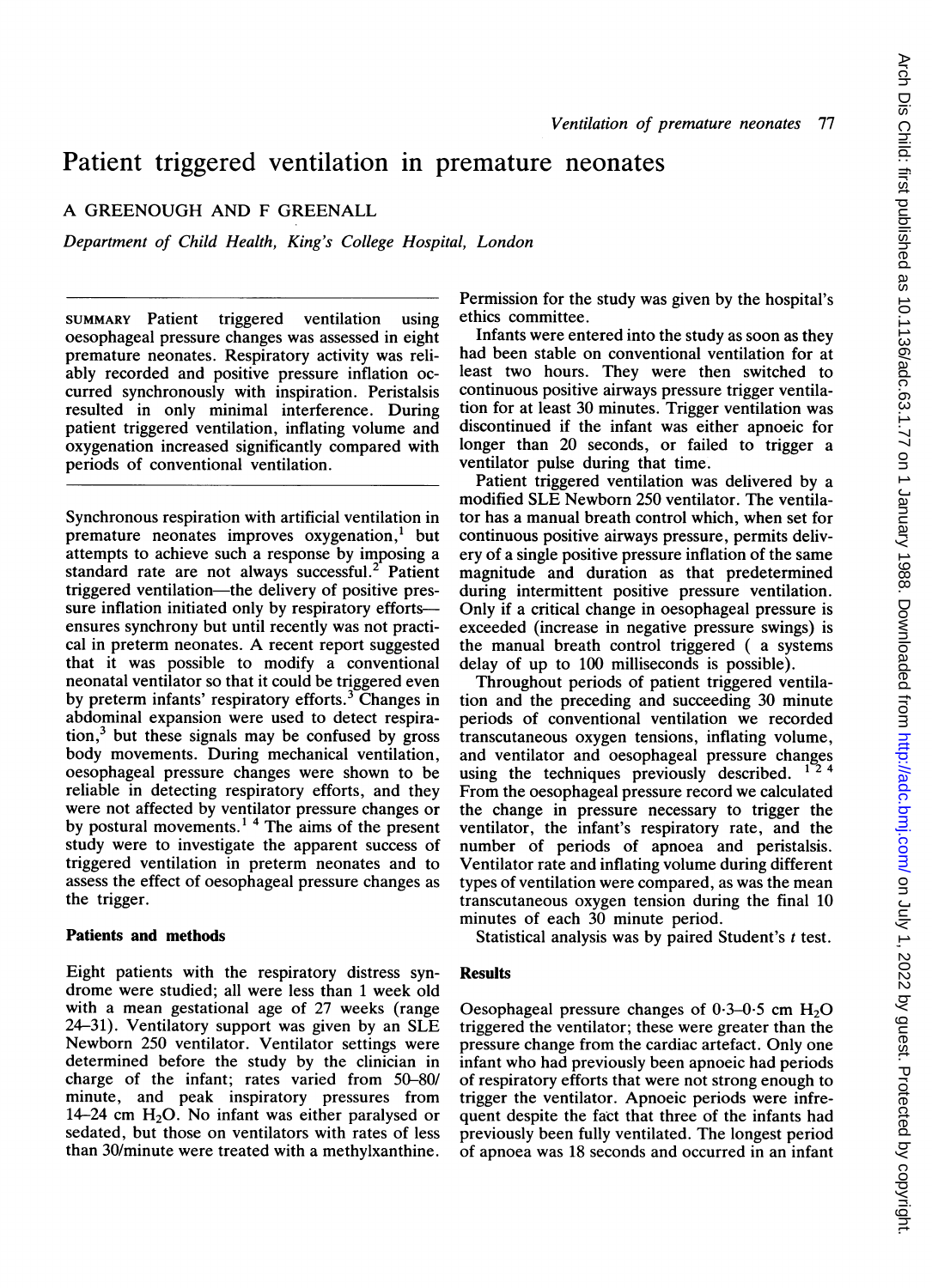# Patient triggered ventilation in premature neonates

A GREENOUGH AND F GREENALL

Department of Child Health, King's College Hospital, London

SUMMARY Patient triggered ventilation using oesophageal pressure changes was assessed in eight premature neonates. Respiratory activity was reliably recorded and positive pressure inflation occurred synchronously with inspiration. Peristalsis resulted in only minimal interference. During patient triggered ventilation, inflating volume and oxygenation increased significantly compared with periods of conventional ventilation.

Synchronous respiration with artificial ventilation in premature neonates improves oxygenation,<sup>1</sup> but attempts to achieve such a response by imposing a standard rate are not always successful. $2$  Patient triggered ventilation-the delivery of positive pressure inflation initiated only by respiratory effortsensures synchrony but until recently was not practical in preterm neonates. A recent report suggested that it was possible to modify a conventional neonatal ventilator so that it could be triggered even by preterm infants' respiratory efforts.<sup>3</sup> Changes in abdominal expansion were used to detect respira- $\text{tion}^3$  but these signals may be confused by gross body movements. During mechanical ventilation, oesophageal pressure changes were shown to be reliable in detecting respiratory efforts, and they were not affected by ventilator pressure changes or by postural movements.<sup>14</sup> The aims of the present study were to investigate the apparent success of triggered ventilation in preterm neonates and to assess the effect of oesophageal pressure changes as the trigger.

## Patients and methods

Eight patients with the respiratory distress syndrome were studied; all were less than <sup>1</sup> week old with a mean gestational age of 27 weeks (range 24-31). Ventilatory support was given by an SLE Newborn 250 ventilator. Ventilator settings were determined before the study by the clinician in charge of the infant; rates varied from 50-80/ minute, and peak inspiratory pressures from 14-24 cm  $H_2O$ . No infant was either paralysed or sedated, but those on ventilators with rates of less than 30/minute were treated with a methylxanthine. Permission for the study was given by the hospital's ethics committee.

Infants were entered into the study as soon as they had been stable on conventional ventilation for at least two hours. They were then switched to continuous positive airways pressure trigger ventilation for at least 30 minutes. Trigger ventilation was discontinued if the infant was either apnoeic for longer than 20 seconds, or failed to trigger a ventilator pulse during that time.

Patient triggered ventilation was delivered by a modified SLE Newborn 250 ventilator. The ventilator has a manual breath control which, when set for continuous positive airways pressure, permits delivery of a single positive pressure inflation of the same magnitude and duration as that predetermined during intermittent positive pressure ventilation. Only if a critical change in oesophageal pressure is exceeded (increase in negative pressure swings) is the manual breath control triggered ( a systems delay of up to 100 milliseconds is possible).

Throughout periods of patient triggered ventilation and the preceding and succeeding 30 minute periods of conventional ventilation we recorded transcutaneous oxygen tensions, inflating volume, and ventilator and oesophageal pressure changes using the techniques previously described. From the oesophageal pressure record we calculated the change in pressure necessary to trigger the ventilator, the infant's respiratory rate, and the number of periods of apnoea and peristalsis. Ventilator rate and inflating volume during different types of ventilation were compared, as was the mean transcutaneous oxygen tension during the final 10 minutes of each 30 minute period.

Statistical analysis was by paired Student's <sup>t</sup> test.

## Results

Oesophageal pressure changes of  $0.3{\text -}0.5$  cm  $H_2O$ triggered the ventilator; these were greater than the pressure change from the cardiac artefact. Only one infant who had previously been apnoeic had periods of respiratory efforts that were not strong enough to trigger the ventilator. Apnoeic periods were infrequent despite the fact that three of the infants had previously been fully ventilated. The longest period of apnoea was 18 seconds and occurred in an infant